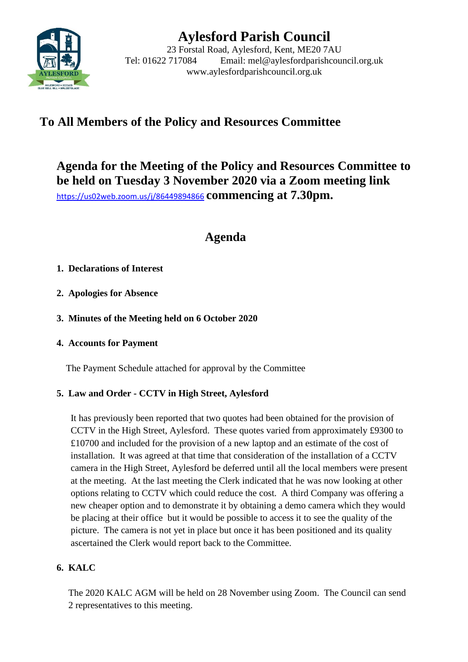

# **Aylesford Parish Council**

23 Forstal Road, Aylesford, Kent, ME20 7AU Tel: 01622 717084 Email: mel@aylesfordparishcouncil.org.uk www.aylesfordparishcouncil.org.uk

## **To All Members of the Policy and Resources Committee**

**Agenda for the Meeting of the Policy and Resources Committee to be held on Tuesday 3 November 2020 via a Zoom meeting link** <https://us02web.zoom.us/j/86449894866> **commencing at 7.30pm.**

## **Agenda**

### **1. Declarations of Interest**

- **2. Apologies for Absence**
- **3. Minutes of the Meeting held on 6 October 2020**

### **4. Accounts for Payment**

The Payment Schedule attached for approval by the Committee

## **5. Law and Order - CCTV in High Street, Aylesford**

It has previously been reported that two quotes had been obtained for the provision of CCTV in the High Street, Aylesford. These quotes varied from approximately £9300 to £10700 and included for the provision of a new laptop and an estimate of the cost of installation. It was agreed at that time that consideration of the installation of a CCTV camera in the High Street, Aylesford be deferred until all the local members were present at the meeting. At the last meeting the Clerk indicated that he was now looking at other options relating to CCTV which could reduce the cost. A third Company was offering a new cheaper option and to demonstrate it by obtaining a demo camera which they would be placing at their office but it would be possible to access it to see the quality of the picture. The camera is not yet in place but once it has been positioned and its quality ascertained the Clerk would report back to the Committee.

## **6. KALC**

The 2020 KALC AGM will be held on 28 November using Zoom. The Council can send 2 representatives to this meeting.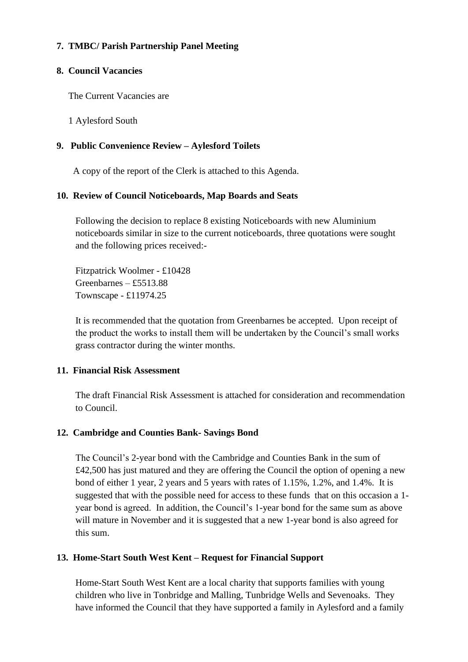#### **7. TMBC/ Parish Partnership Panel Meeting**

#### **8. Council Vacancies**

The Current Vacancies are

1 Aylesford South

#### **9. Public Convenience Review – Aylesford Toilets**

A copy of the report of the Clerk is attached to this Agenda.

#### **10. Review of Council Noticeboards, Map Boards and Seats**

Following the decision to replace 8 existing Noticeboards with new Aluminium noticeboards similar in size to the current noticeboards, three quotations were sought and the following prices received:-

Fitzpatrick Woolmer - £10428 Greenbarnes – £5513.88 Townscape - £11974.25

It is recommended that the quotation from Greenbarnes be accepted. Upon receipt of the product the works to install them will be undertaken by the Council's small works grass contractor during the winter months.

#### **11. Financial Risk Assessment**

The draft Financial Risk Assessment is attached for consideration and recommendation to Council.

#### **12. Cambridge and Counties Bank- Savings Bond**

The Council's 2-year bond with the Cambridge and Counties Bank in the sum of £42,500 has just matured and they are offering the Council the option of opening a new bond of either 1 year, 2 years and 5 years with rates of 1.15%, 1.2%, and 1.4%. It is suggested that with the possible need for access to these funds that on this occasion a 1 year bond is agreed. In addition, the Council's 1-year bond for the same sum as above will mature in November and it is suggested that a new 1-year bond is also agreed for this sum.

#### **13. Home-Start South West Kent – Request for Financial Support**

Home-Start South West Kent are a local charity that supports families with young children who live in Tonbridge and Malling, Tunbridge Wells and Sevenoaks. They have informed the Council that they have supported a family in Aylesford and a family